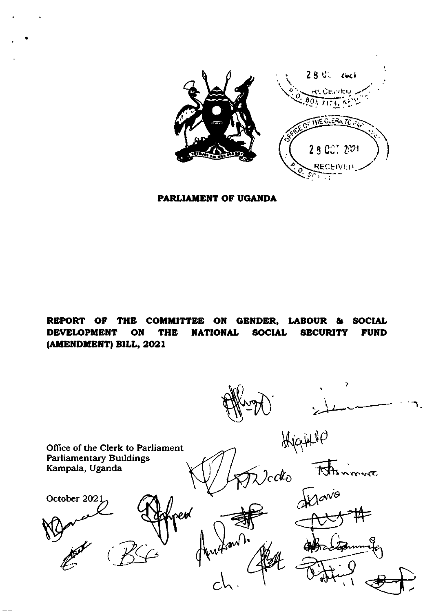

PARLIAMENT OF UGANDA

REPORT OF THE COMMITTEE ON GENDER, LABOUR **SOCIAL** a dis **DEVELOPMENT** ON **THE NATIONAL SOCIAL SECURITY FUND** (AMENDMENT) BILL, 2021

 $\overline{\phantom{a}}$ Hjamo Office of the Clerk to Parliament **Parliamentary Buildings** mnt Kampala, Uganda  $2cdc$ Mario October 2021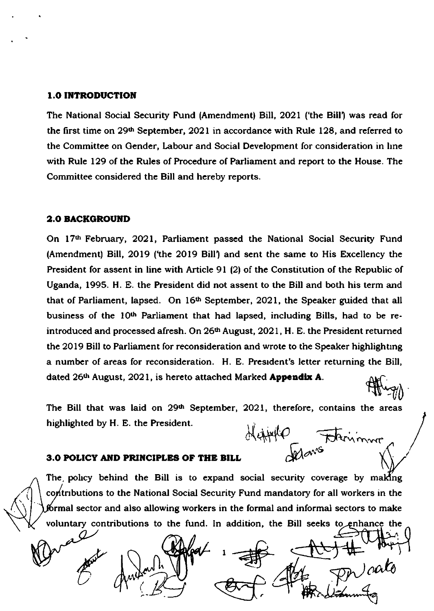### 1.0 INTRODUCTION

The National Social Security Fund (Amendment) Bill, 2021 ('the Bill') was read for the first time on 29<sup>th</sup> September, 2021 in accordance with Rule 128, and referred to the Committee on Gender, Labour and Social Development for consideration in hne with Rule 129 of the Rules of Procedure of Parliament and report to the House. The Committee considered the Bill and hereby reports.

### **2.0 BACKGROUND**

 $\mathbf$ 

On 17th February, 2021, Parliament passed the National Social Security Fund (Amendment) Bill, 2019 ('the 2019 Bill') and sent the same to His Excellency the President for assent in line with Article 91 (2) of the Constitution of the Republic of Uganda, 1995. H. E. the President did not assent to the Bill and both his term and that of Parliament, lapsed. On  $16<sup>th</sup>$  September, 2021, the Speaker guided that all business of the 10<sup>th</sup> Parliament that had lapsed, including Bills, had to be reintroduced and processed afresh. On 26<sup>th</sup> August, 2021, H. E. the President returned the 2019 Bill to Parliament for reconsideration and wrote to the Speaker highlighting a number of areas for reconsideration. H. E. Presrdent's letter returning the Bill, dated 26<sup>th</sup> August, 2021, is hereto attached Marked **Appendix A**. ffugy

The Bill that was laid on 29<sup>th</sup> September, 2021, therefore, contains the areas highlighted by H. E. the President. Heifford Faternmore

### 3.0 POLICY AND PRINCIPLES OF THE BILL

The policy behind the Bill is to expand social security coverage by making contributions to the National Social Security Fund mandatory for all workers in the formal sector and also allowing workers in the formal and informal sectors to make voluntary contributions to the fund. In addition, the Bill seeks to enhance the o

 $1 + \frac{1}{\sqrt{2}}$ ) cala  $\frac{1}{\sqrt{N}}$   $\frac{1}{\sqrt{N}}$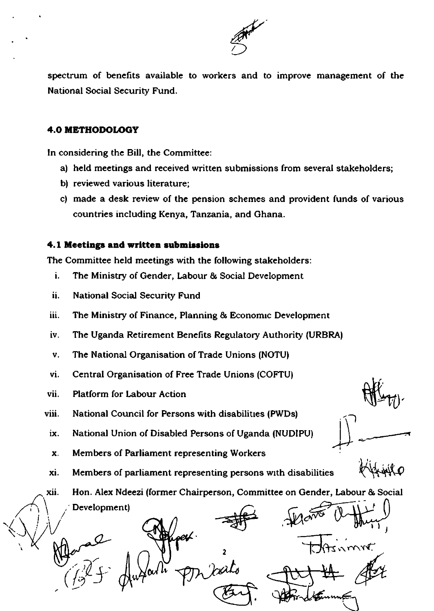

spectrum of benefits available to workers and to improve management of the National Social Security Fund.

### 4.0 METHODOLOGY

ln considering the Bill, the Committee:

- a) held meetings and received written submissions from several stakeholders;
- b) reviewed various literature;
- c) made a desk review of the pension schemes and provident funds of various countries including Kenya, Tanzania, and Ghana.

### 4.1 Meetings and written submissions

The Committee held meetings with the following stakeholders:

- i. The Ministry of Gender, Labour & Social Development
- ii. National Social Security Fund
- iii. The Ministry of Finance, Planning & Economic Development
- iv. The Uganda Retirement Benefits Regulatory Authority (URBRAI
- v. The National Organisation of Trade Unions (NOTU)
- vi. Central Organisation of Free Trade Unions (COFTU)
- vii. Platform for Labour Action
- viii. National Council for Persons with disabilitres (PWDs)
- ix. National Union of Disabled Persons of Uganda (NUDIPU)
- x. Members of Parliament representing Workers
- xi. Members of parliament representing persons with disabilities

xii. Hon. Alex Ndeezi (former Chairperson, Committee on Gender, labour & Social Development) \

Development) J 2  $\overline{H}_{\text{max}}$  $(\mathscr{P}^{\ell})$  $\bf{r}$ 'vt,

)  $\overline{\phantom{0}}$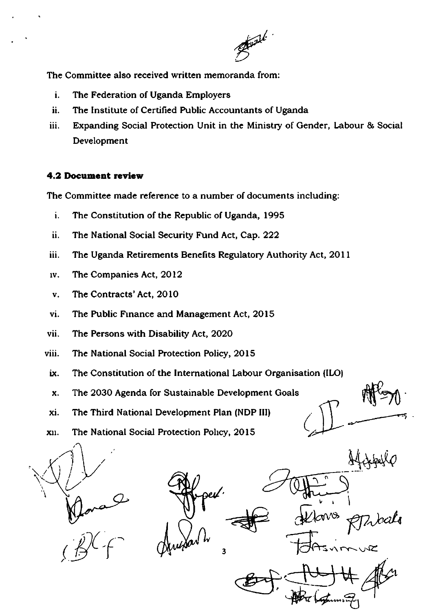

The Committee also received written memoranda from:

- i. The Federation of Uganda Employers
- ii. The Institute of Certified Public Accountants of Uganda
- iii. Expanding Social Protection Unit in the Ministry of Gender, Labour & Social Development

### 4.2 Document review

The Committee made reference to a number of documents including:

- i. The Constitution of the Republic of Uganda, 1995
- ii. The National Social Security Fund Act, Cap. 222
- iii. The Uganda Retirements Benefits Regulatory Authority Act, 2011
- The Companies Act, 2012 **IV.**
- The Contracts' Act, 2010 v.
- The Public Finance and Management Act, 2015 vi.
- vii. The Persons with Disability Act, 2020
- viii. The National Social Protection Policy, 2015
- The Constitution of the International Labour Organisation (ILO) ix.

 $\sqrt{\mu}$ 

3

- The 2030 Agenda for Sustainable Development Goals X.
- The Third National Development Plan (NDP III) xi.
- The National Social Protection Policy, 2015 XII.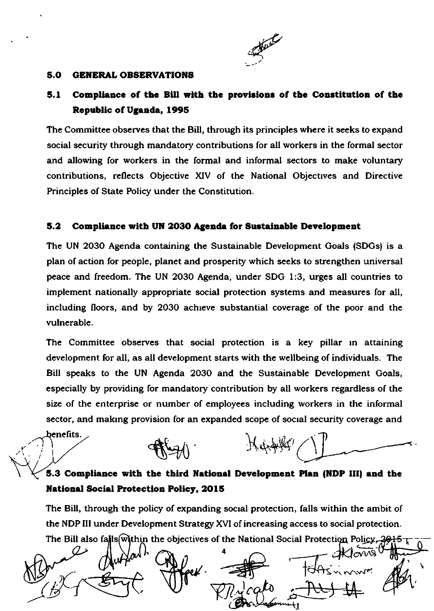

#### $5.0$ **GENERAL OBSERVATIONS**

benefits.

### $5.1$ Compliance of the Bill with the provisions of the Constitution of the Republic of Uganda, 1995

The Committee observes that the Bill, through its principles where it seeks to expand social security through mandatory contributions for all workers in the formal sector and allowing for workers in the formal and informal sectors to make voluntary contributions, reflects Objective XIV of the National Objectives and Directive Principles of State Policy under the Constitution.

### $5.2$ Compliance with UN 2030 Agenda for Sustainable Development

The UN 2030 Agenda containing the Sustainable Development Goals (SDGs) is a plan of action for people, planet and prosperity which seeks to strengthen universal peace and freedom. The UN 2030 Agenda, under SDG 1:3, urges all countries to implement nationally appropriate social protection systems and measures for all, including floors, and by 2030 achieve substantial coverage of the poor and the vulnerable.

The Committee observes that social protection is a key pillar in attaining development for all, as all development starts with the wellbeing of individuals. The Bill speaks to the UN Agenda 2030 and the Sustainable Development Goals, especially by providing for mandatory contribution by all workers regardless of the size of the enterprise or number of employees including workers in the informal sector, and making provision for an expanded scope of social security coverage and

Karaffer

# 5.3 Compliance with the third National Development Plan (NDP III) and the **National Social Protection Policy, 2015**

The Bill, through the policy of expanding social protection, falls within the ambit of the NDP III under Development Strategy XVI of increasing access to social protection. The Bill also falls within the objectives of the National Social Protection Policy, 26

per/.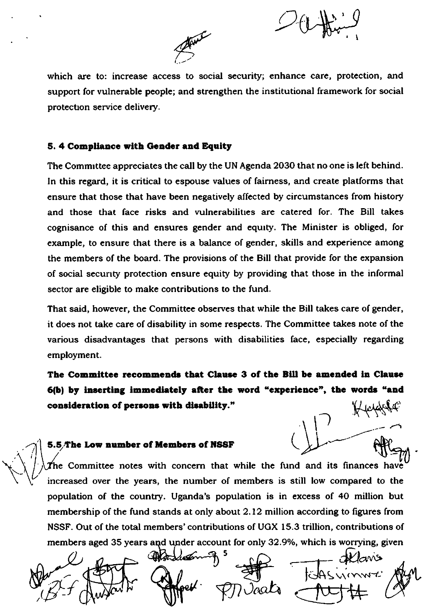



which are to: increase access to social security; enhance care, protection, and support for vulnerable people; and strengthen the institutional framework for social protection service delivery.

### 5. 4 Compliance with Gender and Equity

The Committee appreciates the call by the UN Agenda 2030 that no one is left behind. In this regard, it is critical to espouse values of fairness, and create platforms that ensure that those that have been negatively affected by circumstances from history and those that face risks and vulnerabilities are catered for. The Bill takes cognisance of this and ensures gender and equity. The Minister is obliged, for example, to ensure that there is a balance of gender, skills and experience among the members of the board. The provisions of the Bill that provide for the expansion of social security protection ensure equity by providing that those in the informal sector are eligible to make contributions to the fund.

That said, however, the Committee observes that while the Bill takes care of gender, it does not take care of disability in some respects. The Committee takes note of the various disadvantages that persons with disabilities face, especially regarding employment.

The Committee recommends that Clause 3 of the Bill be amended in Clause 6(b) by inserting immediately after the word "experience", the words "and consideration of persons with disability."

### 5.5/The Low number of Members of NSSF

The Committee notes with concern that while the fund and its finances have increased over the years, the number of members is still low compared to the population of the country. Uganda's population is in excess of 40 million but membership of the fund stands at only about 2.12 million according to figures from NSSF. Out of the total members' contributions of UGX 15.3 trillion, contributions of members aged 35 years and under account for only 32.9%, which is worrying, given

 $aws$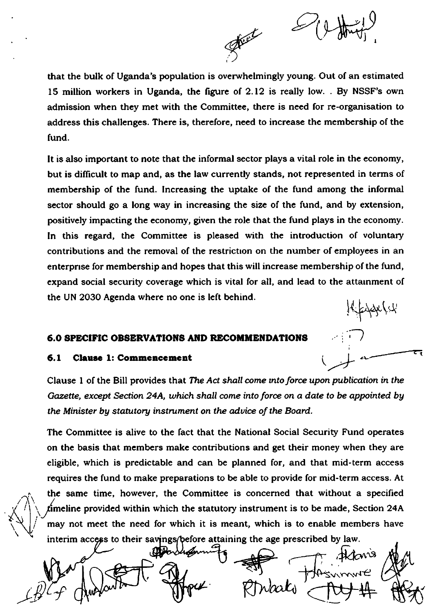

)

1

that the bulk of Uganda's population is ovenrhelmingly young. Out of an estimated l5 million workers in Uganda, the figure of 2.12 is really low. . By NSSF's own admission when they met with the Committee, there is need for re-organisation to address this challenges. There is, therefore, need to increase the membership of the fund.

It is also important to note that the informal sector plays a vital role in the economy, but is difficult to map and, as the law currently stands, not represented in terms of membership of the fund. lncreasing the uptake of the fund among the informal sector should go a long way in increasing the size of the fund, and by extension, positively impacting the economy, given the role that the fund plays in the economy. ln this regard, the Committee is pleased with the introduction of voluntary contributions and the removal of the restriction on the number of employees in an enterprrse for membership and hopes that this will increase membership of the fund, expand social security coverage which is vital for all, and lead to the attarnment of the UN 2030 Agenda where no one is left behind.  $\frac{1}{2}$ 

### 6.0 SPECIFIC OBSERVATIONS AND RECOMMENDATIONS

### 6.1 Clause 1: Commencement

 $\sim$ 

Clause 1 of the Bill provides that The Act shall come into force upon publication in the Gazette, except Section 24A, which shall come into force on a date to be appointed by the Minister by statutory instrument on the advice of the Board.

The Committee is alive to the fact that the National Social Security Fund operates on the basis that members make contributions and get their money when they are eligible, which is predictable and can be planned for, and that mid-term access requires the fund to make preparations to be able to provide for mid-term access. At the same time, however, the Committee is concerned that without a specified fimeline provided within which the statutory instrument is to be made, Section 24A may not meet the need for which it is meant, which is to enable members have interim access to their savings/before attaining the age prescribed by law.

fktan<sup>i</sup>  $\mathcal{L}$ .r.nw€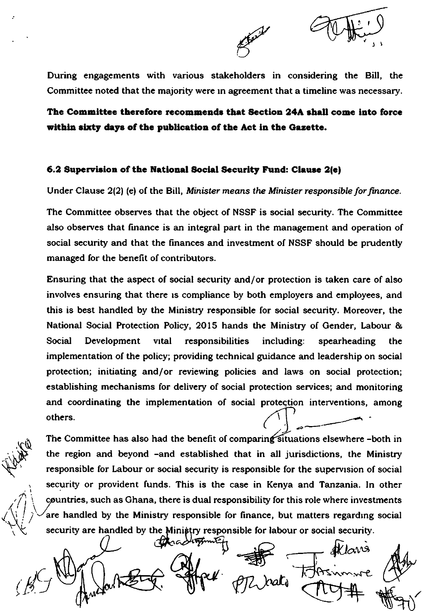

During engagements with various stakeholders in considering the Bill, the Committee noted that the majority were in agreement that a timeline was necessary.

The Committee therefore recommends that Section 24A shall come into force within sixty days of the publication of the Act in the Gazette.

### 6.2 Supervision of the National Social Security Fund: Clause 2(e)

Under Clause 2(2) (e) of the Bill, Minister means the Minister responsible for finance.

The Committee observes that the object of NSSF is social security. The Committee also observes that finance is an integral part in the management and operation of social security and that the finances and investment of NSSF should be prudently managed for the benefit of contributors.

Ensuring that the aspect of social security and/or protection is taken care of also involves ensuring that there is compliance by both employers and employees, and this is best handled by the Ministry responsible for social security. Moreover, the National Social Protection Policy, 2015 hands the Ministry of Gender, Labour & Social Development vital responsibilities including: spearheading the implementation of the policy; providing technical guidance and leadership on social protection; initiating and/or reviewing policies and laws on social protection; establishing mechanisms for delivery of social protection services; and monitoring and coordinating the implementation of social protection interventions, among others.

The Committee has also had the benefit of comparing situations elsewhere -both in the region and beyond -and established that in all jurisdictions, the Ministry responsible for Labour or social security is responsible for the supervision of social security or provident funds. This is the case in Kenya and Tanzania. In other countries, such as Ghana, there is dual responsibility for this role where investments are handled by the Ministry responsible for finance, but matters regarding social security are handled by the Ministry responsible for labour or social security.

Mara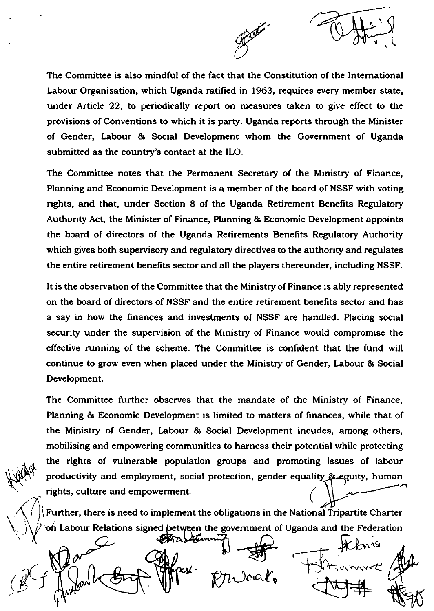

The Committee is also mindful of the fact that the Constitution of the International Labour Organisation, which Uganda ratified in 1963, requires every member state, under Article 22, to periodically report on measures taken to give effect to the provisions of Conventions to which it is party. Uganda reports through the Minister of Gender, Labour & Social Development whom the Government of Uganda submitted as the country's contact at the ILO.

The Committee notes that the Permanent Secretary of the Ministry of Finance, Planning and Economic Development is a member of the board of NSSF with voting nghts, and that, under Section 8 of the Uganda Retirement Benefits Regulatory Authorrty Act, the Minister of Finance, Planning & Economic Development appoints the board of directors of the Uganda Retirements Benefits Regulatory Authority which gives both supervisory and regulatory directives to the authority and regulates the entire retirement benefits sector and all the players thereunder, including NSSF.

It is the observatlon of the Committee that the Ministry of Finance is ably represented on the board of directors of NSSF and the entire retirement benefits sector and has a say in how the finances and investments of NSSF are handled. Placing social security under the supervision of the Ministry of Finance would compromise the effective running of the scheme. The Committee is confident that the fund will continue to grow even when placed under the Ministry of Gender, Labour & Social Development.

The Committee further observes that the mandate of the Ministry of Finance, Planning & Economic Development is limited to matters of finances, while that of the Ministry of Gender, Labour & Social Development incudes, among others, mobilising and empowering communities to harness their potential while protecting the rights of vulnerable population groups and promoting issues of labour productivity and employment, social protection, gender equality & equity, human rights, culture and empowerment.  $\zeta$ 

on Labour Relations signed between the government of Uganda and the Federation

 $A_{\mathcal{N}}$ 

)

 $\bigwedge$ 

 $(\cancel{B}^-)$ Further, there is need to implement the obligations in the National Tripartite Charter<br>
on Labour Relations signed petween the government of Uganda and the Federation<br>
Concerting the relation of the relation<br>
Concerting th fr?r  $p_1$ Jaa $\ell_{\mathfrak{v}}$  $+1$ it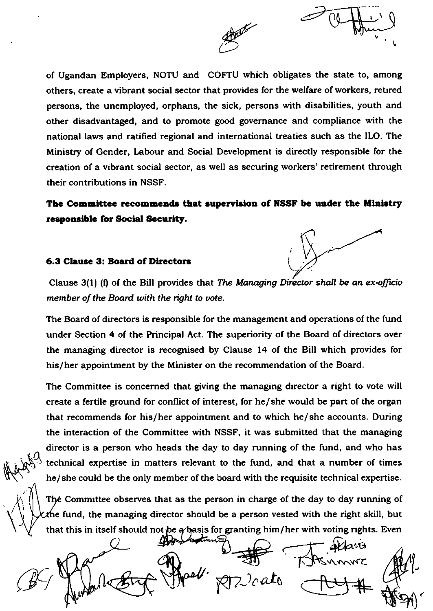

of Ugandan Employers, NOTU and COFTU which obligates the state to, among others, create a vibrant social sector that provides for the welfare of workers, retrred persons, the unemployed, orphans, the sick, persons with disabilities, youth and other disadvantaged, and to promote good governance and compliance with the national laws and ratifred regional and international treaties such as the lLO. The Ministry of Gender, Labour and Social Development is directly responsible for the creation of a vibrant social sector, as well as securing workers' retirement through their contributions in NSSF.

The Committee recommends that supervision of NSSF be under the Ministry responsible for Social Security.

### 6.3 Clause 3: Board of Directors

 $M^{\alpha_{\alpha_{2}}}$ 

I

Clause 3(1) (f) of the Bill provides that The Managing Director shall be an ex-officio member of the Board with the right to vote.

The Board of directors is responsible for the management and operations of the fund under Section 4 of the Principal Act. The superiority of the Board of directors over the managing director is recognised by Clause 14 of the Bill which provides for his/her appointment by the Minister on the recommendation of the Board.

The Committee is concerned that giving the managing drrector a right to vote will create a fertile ground for conflict of interest, for he/she would be part of the organ that recommends for his/her appointment and to which he/she accounts. During the interaction of the Committee with NSSF, it was submitted that the managing director is a person who heads the day to day running of the fund, and who has technicd expertise in matters relevant to the fund, and that a number of times he/she could be the only member of the board with the requisite technical expertise.

Thé Committee observes that as the person in charge of the day to day running of the fund, the managing director should be a person vested with the right skill, but that this in itself should not be a basis for granting him/her with voting rights. Even

 $\blacktriangle$ lart \$7)aalt  $\mathscr{B}$  (  $\bigcup_{\alpha} \mathscr{C}$  ) at  $\bigcup_{\alpha} \mathscr{C}$  (  $\bigcup_{\alpha} \mathscr{C}$  ) at  $\bigcup_{\alpha} \mathscr{C}$ 

L J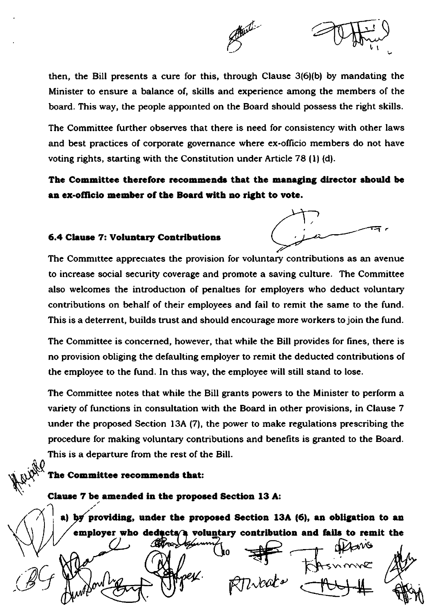

then, the Bill presents a cure for this, through Clause 3(6)(b) by mandating the Minister to ensure a balance of, skills and experience among the members of the board. This way, the people appointed on the Board should possess the right skills.

The Committee further observes that there is need for consistency with other laws and best practices of corporate governance where ex-officio members do not have voting rights, starting with the Constitution under Article 78 (1) (d).

The Committee therefore recommends that the managing director should be an ex-officio member of the Board with no right to vote.

### 6.4 Clause 7: Voluntary Contributions



The Committee appreciates the provision for voluntary contributions as an avenue to increase social security coverage and promote a saving culture. The Committee also welcomes the introduction of penalties for employers who deduct voluntary contributions on behalf of their employees and fail to remit the same to the fund. This is a deterrent, builds trust and should encourage more workers to join the fund.

The Committee is concerned, however, that while the Bill provides for fines, there is no provision obliging the defaulting employer to remit the deducted contributions of the employee to the fund. In this way, the employee will still stand to lose.

The Committee notes that while the Bill grants powers to the Minister to perform a variety of functions in consultation with the Board in other provisions, in Clause 7 under the proposed Section 13A (7), the power to make regulations prescribing the procedure for making voluntary contributions and benefits is granted to the Board. This is a departure from the rest of the Bill.

### The Committee recommends that:

Clause 7 be amended in the proposed Section 13 A:

a) by providing, under the proposed Section 13A (6), an obligation to an employer who deducts/a voluntary contribution and fails to remit the

res/.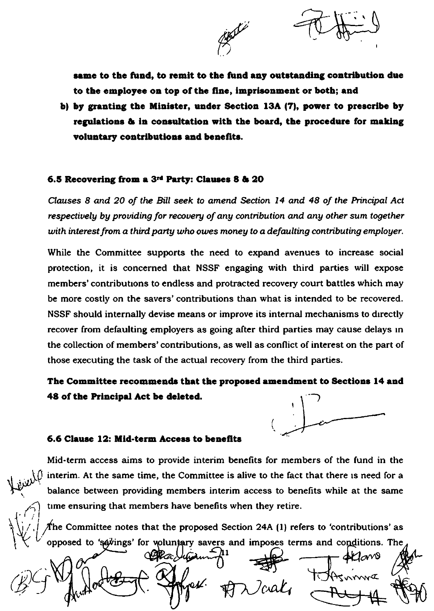

same to the fund, to remit to the fund any outstanding contribution due to the employee on top of the fine, imprisonment or both; and

b) by granting the Minister, under Section 13A (7), power to prescribe by regulations & in consultation with the board, the procedure for making voluntary contributions and benefits.

### 6.5 Recovering from a 3<sup>rd</sup> Party: Clauses 8 & 20

Clauses 8 and 20 of the Bill seek to amend Section 14 and 48 of the Principal Act respectively by providing for recovery of any contribution and any other sum together with interest from a third party who owes money to a defaulting contributing employer.

While the Committee supports the need to expand avenues to increase social protection, it is concerned that NSSF engaging with third parties will expose members' contributions to endless and protracted recovery court battles which may be more costly on the savers' contributions than what is intended to be recovered. NSSF should internally devise means or improve its internal mechanisms to directly recover from defaulting employers as going after third parties may cause delays in the collection of members' contributions, as well as conflict of interest on the part of those executing the task of the actual recovery from the third parties.

# The Committee recommends that the proposed amendment to Sections 14 and 48 of the Principal Act be deleted.



### 6.6 Clause 12: Mid-term Access to benefits

Mid-term access aims to provide interim benefits for members of the fund in the interim. At the same time, the Committee is alive to the fact that there is need for a balance between providing members interim access to benefits while at the same time ensuring that members have benefits when they retire.

 $\not\!\!\!\!/$ he Committee notes that the proposed Section 24A (1) refers to 'contributions' as opposed to 'savings' for woluntary savers and imposes terms and conditions. The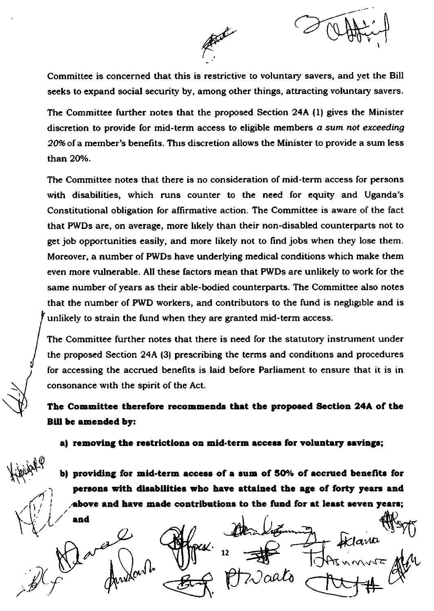

Committee is concerned that this is restrictive to voluntary savers, and yet the Bill seeks to expand social security by, among other things, attracting voluntary savers.

The Committee further notes that the proposed Section 24A (1) gives the Minister discretion to provide for mid-term access to eligible members a sum not exceeding 20% of a member's benefits. This discretion allows the Minister to provide a sum less than 20%.

The Committee notes that there is no consideration of mid-term access for persons with disabilities, which runs counter to the need for equity and Uganda's Constitutional obligation for affirmative action. The Committee is aware of the fact that PWDs are, on average, more likely than their non-disabled counterparts not to get job opportunities easily, and more likely not to find jobs when they lose them. Moreover, a number of PWDs have underlying medical conditions which make them even more vulnerable. All these factors mean that PWDs are unlikely to work for the same number of years as their able-bodied counterparts. The Committee also notes that the number of PWD workers, and contributors to the fund is negligible and is unlikely to strain the fund when they are granted mid-term access.

The Committee further notes that there is need for the statutory instrument under the proposed Section 24A (3) prescribing the terms and conditions and procedures for accessing the accrued benefits is laid before Parliament to ensure that it is in consonance with the spirit of the Act.

The Committee therefore recommends that the proposed Section 24A of the **Bill be amended by:** 

a) removing the restrictions on mid-term access for voluntary savings;

b) providing for mid-term access of a sum of 50% of accrued benefits for persons with disabilities who have attained the age of forty years and above and have made contributions to the fund for at least seven years;

and  $12$  $\sqrt{\alpha}$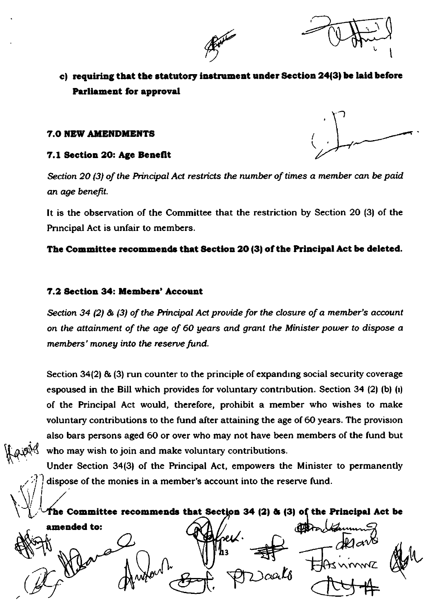

# c) requiring that the statutory instrument under Section 24(3) be laid before **Parliament for approval**

### **7.0 NEW AMENDMENTS**

### 7.1 Section 20: Age Benefit

Section 20 (3) of the Principal Act restricts the number of times a member can be paid an age benefit.

It is the observation of the Committee that the restriction by Section 20 (3) of the Principal Act is unfair to members.

### The Committee recommends that Section 20 (3) of the Principal Act be deleted.

### 7.2 Section 34: Members' Account

Section 34 (2) & (3) of the Principal Act provide for the closure of a member's account on the attainment of the age of 60 years and grant the Minister power to dispose a members' money into the reserve fund.

Section 34(2) & (3) run counter to the principle of expanding social security coverage espoused in the Bill which provides for voluntary contribution. Section 34 (2) (b) (i) of the Principal Act would, therefore, prohibit a member who wishes to make voluntary contributions to the fund after attaining the age of 60 years. The provision also bars persons aged 60 or over who may not have been members of the fund but who may wish to join and make voluntary contributions.

Under Section 34(3) of the Principal Act, empowers the Minister to permanently dispose of the monies in a member's account into the reserve fund.

The Committee recommends that Section 34 (2) & (3) of the Principal Act be

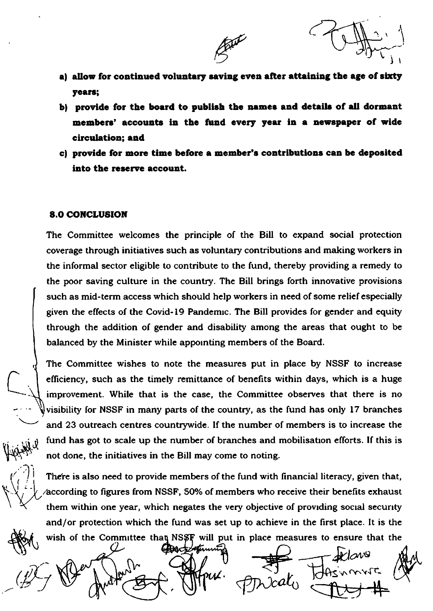$\widetilde{\mathfrak{l}}_i$ 

a) allow for continued voluntary saving even after attaining the age of sixty years;

But

- bl provide for the board to publish the names and details of all dormant members' accounts in the fund every year in a newspaper of wide circulation; and
- c) provide for more time before a member's contributions can be deposited into the reserve account.

### 8.0 CONCLUSION

 $4,4,4,4$ 

 $\epsilon$  1

li-

I

The Committee welcomes the principle of the Bill to expand social protection coverage through initiatives such as voluntary contributions and making workers in the informal sector eligible to contribute to the fund, thereby providing a remedy to the poor saving culture in the country. The Bill brings forth innovative provisions such as mid-term access which should help workers in need of some relief especially given the effects of the Covid-I9 Pandemrc. The Bill provides for gender and equity through the addition of gender and disability among the areas that ought to be balanced by the Minister while appornting members of the Board.

The Committee wishes to note the measures put in place by NSSF to increase efliciency, such as the timely remittance of benefrts within days, which is a huge improvement. While that is the case, the Committee observes that there is no visibility for NSSF in many parts of the country, as the fund has only 17 branches and 23 outreach centres countrywide. If the number of members is to increase the fund has got to scale up the number of branches and mobilisation efforts. If this is not done, the initiatives in the Bill may come to noting.

There is also need to provide members of the fund with financial literacy, given that, according to figures from NSSF, 50% of members who receive their benefits exhaust them within one year, which negates the very objective of provrding socral securrty and/or protection which the fund was set up to achieve in the first place. It is the

wish of the Committee that NSSF will put in place measures to ensure that the  $\frac{1}{2}$  ,  $\frac{1}{2}$  ,  $\frac{1}{2}$  ,  $\frac{1}{2}$ 12 De Jur 30 Mars. pries Fainnys av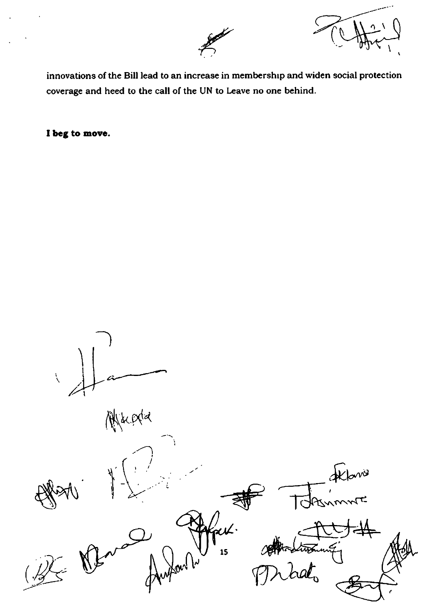

innovations of the Bill lead to an increase in membership and widen social protection coverage and heed to the call of the UN to Leave no one behind.

I beg to move.

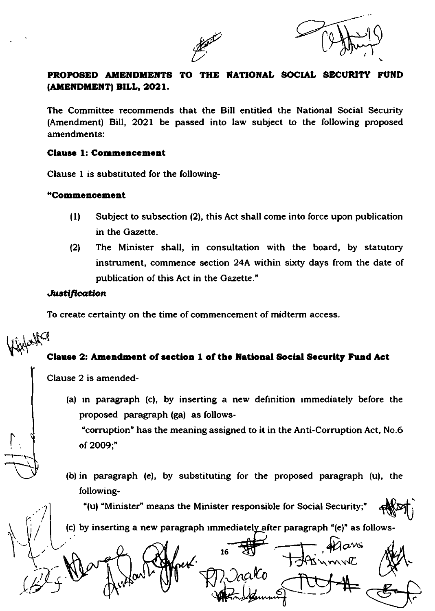



# PROPOSED AMENDMENTS TO THE NATIONAL SOCIAL SECURITY FUND (AMENDMENT) BILL, 2021.

The Committee recommends that the Bill entitled the National Social Security (Amendment) Bill, 2O2l be passed into law subject to the following proposed amendments:

### Clause 1: Commencement

Clause I is substituted for the following-

### "Commencement

- (l) Subject to subsection (2), this Act shall come into force upon publication in the Gazette.
- l2l The Minister shall, in consultation with the board, by statutory instrument, commence section 24A within sixty days from the date of publication of this Act in the Gazette."

### Justification

To create certainty on the time of commencement of midterm access.

# Winter Cla Clause 2: Amendment of section 1 of the National Social Security Fund Act

Clause 2 is amended-

.<br>i

 $\cdot$  ?

 $\overline{\phantom{a}}$ 

(a) in paragraph (c), by inserting a new definition immediately before the proposed paragraph (ga) as follows-

"corruption" has the meaning assigned to it in the Anti-Corruption Act, No.6 ot 2OO9;"

(b) in paragraph (e), by substituting for the proposed paragraph  $(u)$ , the following-

"(u) "Minister" means the Minister responsible for Social Security  $\mathcal{A}$ 

(c) by inserting a new paragraph immediately after paragraph " $(e)$ " as follows-

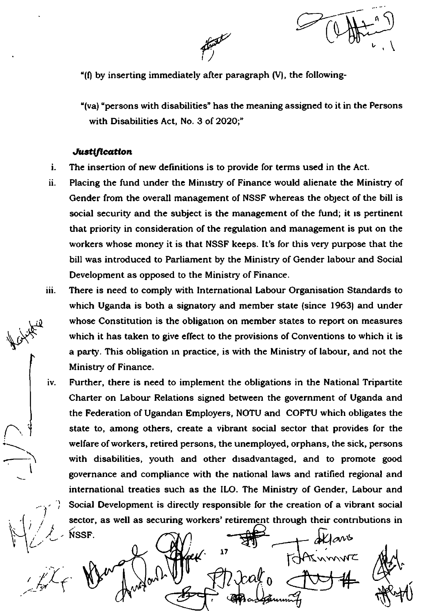n v

" $(f)$  by inserting immediately after paragraph  $(V)$ , the following-

<sup>[</sup>

"(va) "persons with disabilities" has the meaning assigned to it in the Persons with Disabilities Act, No. 3 of 2O2O;"

### Justification

v\$"

--\

t

{

- The insertion of new definitions is to provide for terms used in the Act. i.
- ll. Placing the fund under the Minrstry of Finance woutd alienate the Ministry of Gender from the overall management of NSSF whereas the object of the bill is social security and the subject is the management of the fund; it is pertinent that priority in consideration of the regulation and management is put on the workers whose money it is that NSSF keeps. It's for this very purpose that the bill was introduced to Parliament by the Ministry of Gender labour and Social Development as opposed to the Ministry of Finance.
- iii. There is need to comply with lnternational Labour Organisation Standards to which Uganda is both a signatory and member state (since 1963) and under whose Constitution is the obligation on member states to report on measures which it has taken to give effect to the provisions of Conventions to which it is a party. This obligation in practice, is with the Ministry of labour, and not the Ministry of Finance.
- lv. Further, there is need to implement the obligations in the Nationd Tripartite Charter on Labour Relations signed between the government of Uganda and the Federation of Ugandan Employers, NOTU and COFTU which obligates the state to, among others, create a vibrant social sector that provides for the welfare of workers, retired persons, the unemployed, orphans, the sick, persons with disabilities, youth and other disadvantaged, and to promote good governance and compliance with the national laws and ratified regional and international treaties such as the ILO. The Ministry of Gender, Labour and Social Development is directly responsible for the creation of a vibrant social sector, as well as securing workers' retirement through their contributions in

 $L$  issr.  $\alpha$   $\left(\frac{1}{2}\right)$   $\frac{1}{2\pi}$   $\frac{1}{2\pi}$  allows  $\mathbb{X}^{\mathcal{X}}$  (  $\mathbb{W}^{\omega}$  ) where  $\mathbb{U}^{\omega}$  of  $\mathbb{R}$  deal of . NSSF **17** v,.v.orVfC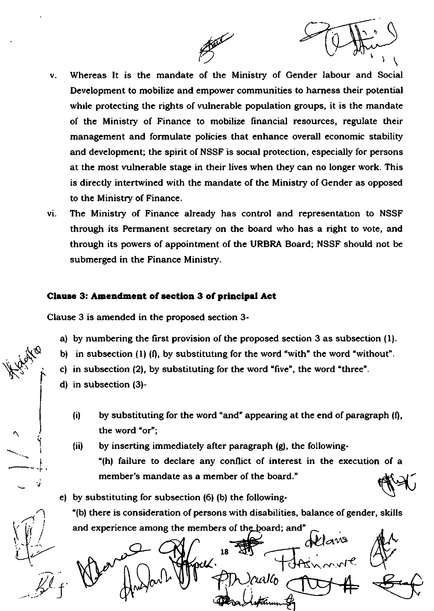

Whereas It is the mandate of the Ministry of Gender labour and Social  $\mathbf{v}_*$ Development to mobilize and empower communities to harness their potential while protecting the rights of vulnerable population groups, it is the mandate of the Ministry of Finance to mobilize financial resources, regulate their management and formulate policies that enhance overall economic stability and development; the spirit of NSSF is social protection, especially for persons at the most vulnerable stage in their lives when they can no longer work. This is directly intertwined with the mandate of the Ministry of Gender as opposed to the Ministry of Finance.

李

The Ministry of Finance already has control and representation to NSSF vi. through its Permanent secretary on the board who has a right to vote, and through its powers of appointment of the URBRA Board; NSSF should not be submerged in the Finance Ministry.

### Clause 3: Amendment of section 3 of principal Act

Clause 3 is amended in the proposed section 3-

- a) by numbering the first provision of the proposed section 3 as subsection (1).
- b) in subsection  $(1)$   $(1)$ , by substituting for the word "with" the word "without".
- c) in subsection (2), by substituting for the word "five", the word "three".
- $d)$  in subsection  $(3)$ -
	- $(i)$ by substituting for the word "and" appearing at the end of paragraph (f), the word "or":
- $(ii)$
- by inserting immediately after paragraph (g), the following-"(h) failure to declare any conflict of interest in the execution of a member's mandate as a member of the board."

e) by substituting for subsection (6) (b) the following-

"(b) there is consideration of persons with disabilities, balance of gender, skills and experience among the members of the board; and"

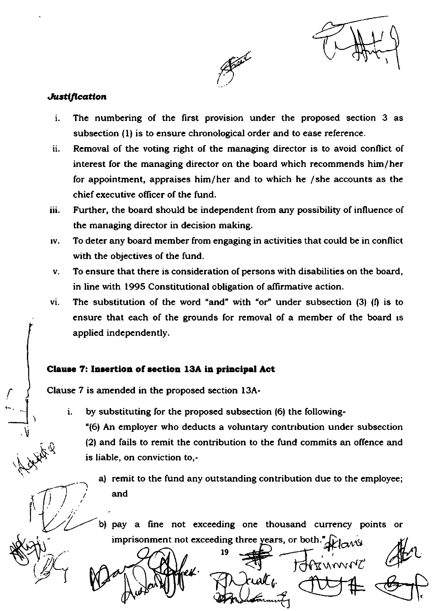

l

### Justification

\,

N\${

 $\lambda$ 

 $\vert$ 

(

- The numbering of the first provision under the proposed section 3 as subsection (l) is to ensure chronological order and to ease reference. i.
- ll. Removal of the voting right of the managing director is to avoid conflict of interest for the managing director on the board which recommends him/her for appointment, appraises him/her and to which he /she accounts as the chief executive offrcer of the fund.
- Further, the board should be independent from any possibility of influence of the managing director in decision making. iii.
- To deter any board member from engaging in activities that could be in conflict with the objectives of the fund. tv.
- To ensure that there is consideration of persons with disabilities on the board,  $\mathbf{v}_1$ in line with 1995 Constitutional obligation of affirmative action.
- The substitution of the word "and" with "or" under subsection  $(3)$   $(1)$  is to ensure that each of the grounds for removal of a member of the board is applied independently. vi.

### Clause 7: Insertion of section 13A in principal Act

Clause 7 is amended in the proposed section l3A-

by substituting for the proposed subsection (6) the following i.

"(6) An employer who deducts a voluntary contnbution under subsection (2) and fails to remit the contribution to the fund commits an offence and is liable, on conviction to,-

a) remit to the fund any outstanding contribution due to the employee; and

b) pay a fine not exceeding one thousand currency points or imprisonment not exceeding three years, or both." $\bigoplus_{i=1}^n$  and

 $\mathbf{M}$ 

 $\Delta \Omega$ 19 ral f

(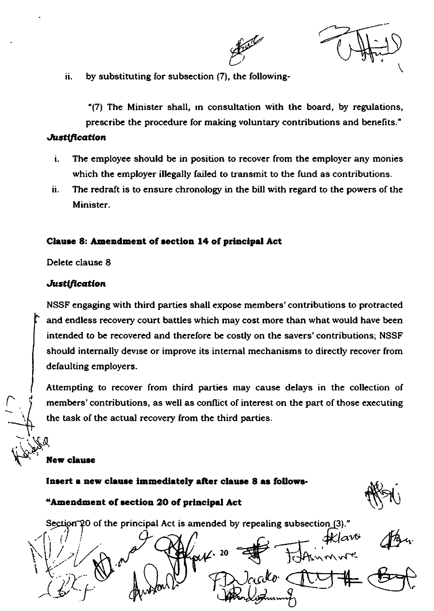

ii. by substituting for subsection (7), the following-

"(7) The Minister shall, in consultation with the board, by regulations, prescribe the procedure for making voluntary contributions and benefits."

### **Justification**

- i. The employee should be in position to recover from the employer any monies which the employer illegally failed to transmit to the fund as contributions.
- The redraft is to ensure chronology in the bill with regard to the powers of the ii. Minister.

### Clause 8: Amendment of section 14 of principal Act

Delete clause 8

### **Justification**

NSSF engaging with third parties shall expose members' contributions to protracted and endless recovery court battles which may cost more than what would have been intended to be recovered and therefore be costly on the savers' contributions; NSSF should internally devise or improve its internal mechanisms to directly recover from defaulting employers.

Attempting to recover from third parties may cause delays in the collection of members' contributions, as well as conflict of interest on the part of those executing the task of the actual recovery from the third parties.

### **New clause**

Insert a new clause immediately after clause 8 as follows-

# "Amendment of section 20 of principal Act

Section 20 of the principal Act is amended by repealing subsection (3)."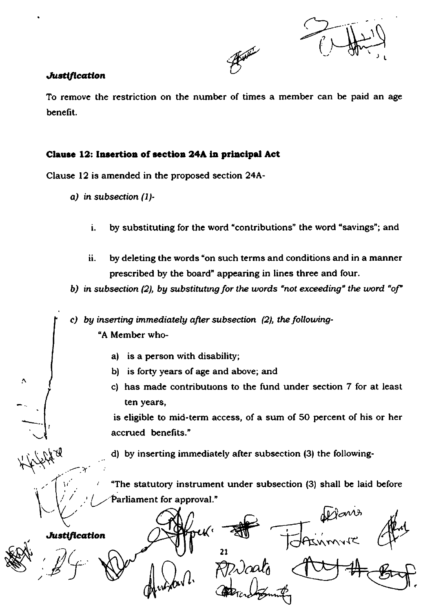( ) L

### Justification

 $\cdot$  .

 $\acute{\zeta}$ 

 $\mathbf{I}$ 

/

**SERV** 

To remove the restriction on the number of times a member can be paid an age benefit.

 $\overline{a}$ 

## Clause 12: Insertion of section 24A in principal Act

Clause 12 is amended in the proposed section 24A-

- a) in subsection (1)
	- i. by substituting for the word "contributions" the word "savings"; and
	- ii. by deleting the words "on such terms and conditions and in a manner prescribed by the board" appearing in lines three and four.
- b) in subsection (2), by substituting for the words "not exceeding" the word "of"

c) by inserting immediately after subsection  $(2)$ , the following-"A Member who-

- a) is a person with disability;
- b) is forty years of age and above; and
- c) has made contributrons to the fund under section 7 for at least ten years,

is eligible to mid-term access, of a sum of 50 percent of his or her accrued benefits."

d) by inserting immediately after subsection (3) the following-

"The statutory instrument under subsection (3) shall be laid before Parliament for approval."

+  $M^{\text{max}}$ **Justification** Ø  $\sqrt{l}$ ( 2t  $\boldsymbol{0}$ n^'Y{q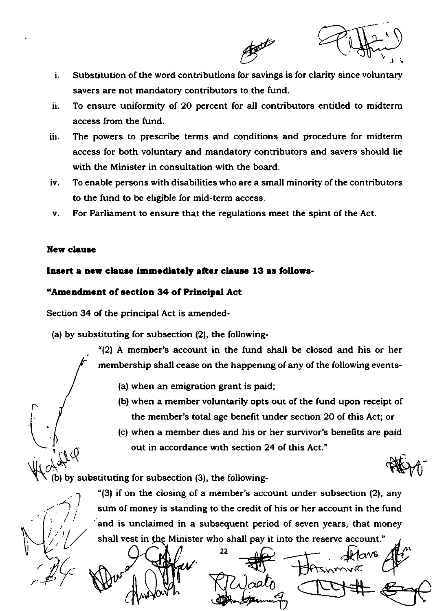

- Substitution of the word contributions for savings is for clarity since voluntary  $\mathbf{i}$ . savers are not mandatory contributors to the fund.
- ii. To ensure uniformity of 20 percent for all contributors entitled to midterm access from the fund.
- iiı. The powers to prescribe terms and conditions and procedure for midterm access for both voluntary and mandatory contributors and savers should lie with the Minister in consultation with the board.
- iv. To enable persons with disabilities who are a small minority of the contributors to the fund to be eligible for mid-term access.
- For Parliament to ensure that the regulations meet the spirit of the Act. v.

### **New clause**

 $A^{\mathcal{U}^{\mathcal{Q}}}$ 

### Insert a new clause immediately after clause 13 as follows-

### "Amendment of section 34 of Principal Act

Section 34 of the principal Act is amended-

(a) by substituting for subsection (2), the following-

"(2) A member's account in the fund shall be closed and his or her membership shall cease on the happening of any of the following events-

- (a) when an emigration grant is paid;
- (b) when a member voluntarily opts out of the fund upon receipt of the member's total age benefit under section 20 of this Act; or
- (c) when a member dies and his or her survivor's benefits are paid out in accordance with section 24 of this Act."

b) by substituting for subsection (3), the following-

"(3) if on the closing of a member's account under subsection (2), any sum of money is standing to the credit of his or her account in the fund and is unclaimed in a subsequent period of seven years, that money shall vest in the Minister who shall pay it into the reserve account."

22 いへい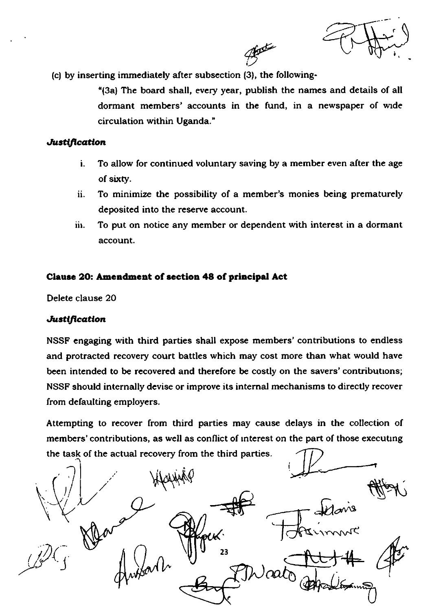f

(c) by inserting immediately after subsection (3), the following-

"(3a) The board shall, every year, publish the names and details of all dormant members' accounts in the fund, in a newspaper of wrde circulation within Uganda. "

Bate

### **Justification**

- To allow for continued voluntary saving by a member even after the age i. of sixty.
- ii. To minimize the possibility of a member's monies being prematurely deposited into the reserve account.
- iii. To put on notice any member or dependent with interest in a dormant account.

### Clause 20: Amendment of section 48 of principal Act

Delete clause 2O

### Justification

NSSF engaging with third parties shall expose members' contributions to endless and protracted recovery court battles which may cost more than what would have been intended to be recovered and therefore be costly on the savers' contributions; NSSF should internally devise or improve its internal mechanisms to directly recover from defaulting employers.

Attempting to recover from third parties may cause delays in the collection of members' contributions, as well as conflict of interest on the part of those executing the task of the actual recovery from the third parties

 $\bigg/$ V\gl++N.q  $\frac{1}{\sqrt{1-\frac{1}{\sqrt{1-\frac{1}{\sqrt{1-\frac{1}{\sqrt{1-\frac{1}{\sqrt{1-\frac{1}{\sqrt{1-\frac{1}{\sqrt{1-\frac{1}{\sqrt{1-\frac{1}{\sqrt{1-\frac{1}{\sqrt{1-\frac{1}{\sqrt{1-\frac{1}{\sqrt{1-\frac{1}{\sqrt{1-\frac{1}{\sqrt{1-\frac{1}{\sqrt{1-\frac{1}{\sqrt{1-\frac{1}{\sqrt{1+\frac{1}{\sqrt{1+\frac{1}{\sqrt{1+\frac{1}{\sqrt{1+\frac{1}{\sqrt{1+\frac{1}{\sqrt{1+\frac{1}{\sqrt{1+\frac{1}{\sqrt{1+\frac{1$  $\int$ danis J 23 aato  $\Delta$ I  $\bigvee$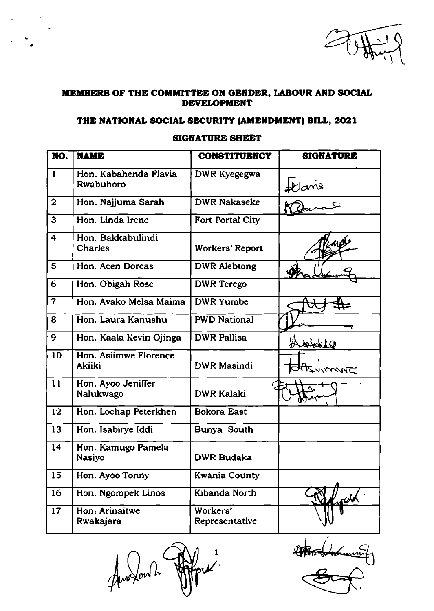

### MEMBERS OF THE COMMITTEE ON GENDER, LABOUR AND SOCIAL DEVELOPMENT

## THE NATIONAL SOCIAL SECURITY (AMENDMENT) BILL, 2021

### SIGNATURE SHEET

| NO.                     | <b>NAME</b>                                   | <b>CONSTITUENCY</b>        | <b>SIGNATURE</b>          |
|-------------------------|-----------------------------------------------|----------------------------|---------------------------|
| $\mathbf{1}$            | Hon. Kabahenda Flavia<br>Rwabuhoro            | DWR Kyegegwa               | $\frac{dE cris}{d\Omega}$ |
| $\overline{2}$          | Hon. Najjuma Sarah                            | <b>DWR Nakaseke</b>        |                           |
| 3                       | Hon. Linda Irene                              | Fort Portal City           |                           |
| $\overline{\mathbf{4}}$ | Hon. Bakkabulindi<br><b>Charles</b>           | <b>Workers' Report</b>     |                           |
| 5                       | Hon. Acen Dorcas                              | <b>DWR Alebtong</b>        |                           |
| 6                       | Hon. Obigah Rose                              | <b>DWR</b> Terego          |                           |
| $\overline{7}$          | Hon. Avako Melsa Maima                        | <b>DWR Yumbe</b>           |                           |
| 8                       | Hon. Laura Kanushu                            | <b>PWD National</b>        |                           |
| 9                       | Hon. Kaala Kevin Ojinga                       | <b>DWR Pallisa</b>         | <u>Qipinish</u>           |
| 10                      | <b>Hon. Asiimwe Florence</b><br><b>Akiiki</b> | <b>DWR Masindi</b>         | <b>JUMME</b>              |
| 11                      | Hon. Ayoo Jeniffer<br>Nalukwago               | <b>DWR Kalaki</b>          |                           |
| 12                      | Hon. Lochap Peterkhen                         | <b>Bokora East</b>         |                           |
| 13                      | Hon. Isabirye Iddi                            | Bunya South                |                           |
| 14                      | Hon. Kamugo Pamela<br><b>Nasiyo</b>           | <b>DWR Budaka</b>          |                           |
| 15                      | Hon. Ayoo Tonny                               | <b>Kwania County</b>       |                           |
| 16                      | Hon. Ngompek Linos                            | Kibanda North              | $\frac{dV}{dt}$           |
| 17                      | Hon: Arinaitwe<br>Rwakajara                   | Workers'<br>Representative |                           |

t ), lr Aux fourth

Homen 11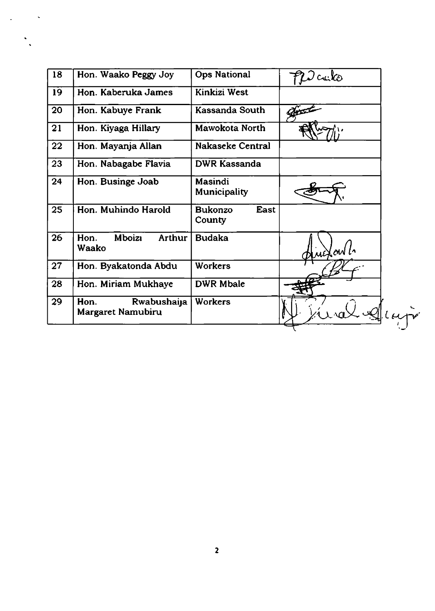| 18 | Hon. Waako Peggy Joy                            | <b>Ops National</b>                     | $\mathcal{Q}$ culto |
|----|-------------------------------------------------|-----------------------------------------|---------------------|
| 19 | Hon. Kaberuka James                             | Kinkizi West                            |                     |
| 20 | Hon. Kabuye Frank                               | Kassanda South                          |                     |
| 21 | Hon. Kiyaga Hillary                             | Mawokota North                          |                     |
| 22 | Hon. Mayanja Allan                              | Nakaseke Central                        |                     |
| 23 | Hon. Nabagabe Flavia                            | DWR Kassanda                            |                     |
| 24 | Hon. Businge Joab                               | <b>Masindi</b><br><b>Municipality</b>   |                     |
| 25 | Hon. Muhindo Harold                             | East<br><b>Bukonzo</b><br><b>County</b> |                     |
| 26 | <b>Mboizi</b><br><b>Arthur</b><br>Hon.<br>Waako | <b>Budaka</b>                           | uifaul.             |
| 27 | Hon. Byakatonda Abdu                            | <b>Workers</b>                          |                     |
| 28 | Hon. Miriam Mukhaye                             | <b>DWR Mbale</b>                        |                     |
| 29 | Hon.<br>Rwabushaija<br>Margaret Namubiru        | <b>Workers</b>                          |                     |

 $\ddot{\cdot}$ 

 $\sim 10^{-12}$ 

 $\frac{1}{2}$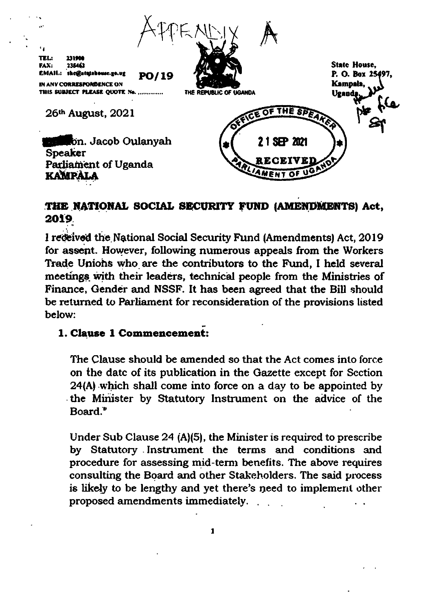

# THE NATIONAL SOCIAL SECURITY FUND (AMENDMENTS) Act. 2019.

I received the National Social Security Fund (Amendments) Act, 2019 for assent. However, following numerous appeals from the Workers Trade Unions who are the contributors to the Fund, I held several meetings with their leaders, technical people from the Ministries of Finance, Gender and NSSF. It has been agreed that the Bill should be returned to Parliament for reconsideration of the provisions listed below:

# 1. Clause 1 Commencement:

The Clause should be amended so that the Act comes into force on the date of its publication in the Gazette except for Section 24(A) which shall come into force on a day to be appointed by the Minister by Statutory Instrument on the advice of the Board."

Under Sub Clause 24 (A)(5), the Minister is required to prescribe by Statutory Instrument the terms and conditions and procedure for assessing mid-term benefits. The above requires consulting the Board and other Stakeholders. The said process is likely to be lengthy and yet there's need to implement other proposed amendments immediately. ...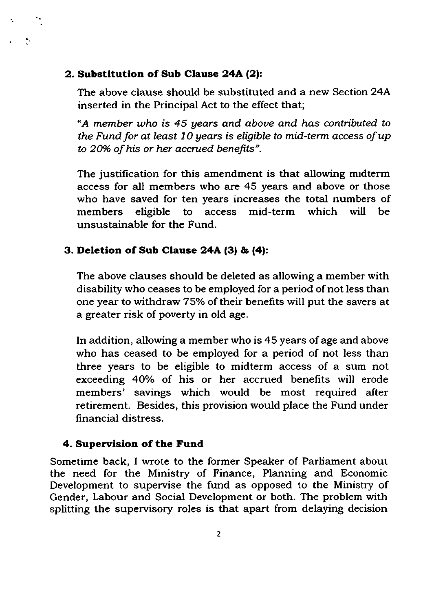# 2. Substitution of Sub Clause 24A (2):

 $\frac{1}{2}$ 

The above clause should be substituted and a new Section 24A inserted in the Principal Act to the effect that;

"A member who is 45 years and above and has contibuted to the Fund for at least  $10$  years is eligible to mid-term access of up to 20% of his or her accrued benefits".

The justification for this amendment is that allowing midterm access for all members who are 45 years and above or those who have saved for ten years increases the total numbers of members eligible to access mid-term which will be unsustainable for the Fund.

# 3. Deletion of Sub Clause 2aA (31 & (a):

The above clauses should be deleted as allowing a member with disability who ceases to be employed for a period of not less than one year to withdraw 75% of their benefits will put the savers at a greater risk of poverty in old age.

In addition, allowing a member who is 45 years of age and above who has ceased to be employed for a period of not less than three years to be eligible to midterm access of a sum not exceeding 40% of his or her accrued benefits will erode members' savings which would be most required after retirement. Besides, this provision would place the Fund under financial distress.

# 4. Supervision of the Fund

Sometime back, I wrote to the former Speaker of Parliament about the need for the Ministry of Finance, Planning and Economic Development to supervise the fund as opposed to the Ministry of Gender, Labour and Social Development or both. The problem with splitting the supervisory roles is that apart from delaying decision